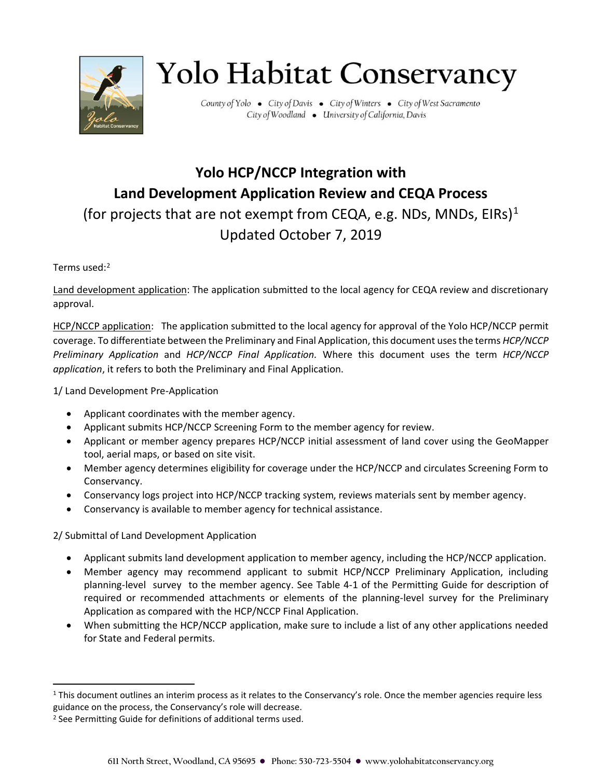

## **Yolo Habitat Conservancy**

County of Yolo . City of Davis . City of Winters . City of West Sacramento City of Woodland . University of California, Davis

## **Yolo HCP/NCCP Integration with Land Development Application Review and CEQA Process** (for projects that are not exempt from CEQA, e.g. NDs, MNDs, EIRs)<sup>1</sup> Updated October 7, 2019

## Terms used:<sup>2</sup>

Land development application: The application submitted to the local agency for CEQA review and discretionary approval.

HCP/NCCP application: The application submitted to the local agency for approval of the Yolo HCP/NCCP permit coverage. To differentiate between the Preliminary and Final Application, this document uses the terms *HCP/NCCP Preliminary Application* and *HCP/NCCP Final Application.* Where this document uses the term *HCP/NCCP application*, it refers to both the Preliminary and Final Application.

1/ Land Development Pre-Application

- Applicant coordinates with the member agency.
- Applicant submits HCP/NCCP Screening Form to the member agency for review.
- Applicant or member agency prepares HCP/NCCP initial assessment of land cover using the GeoMapper tool, aerial maps, or based on site visit.
- Member agency determines eligibility for coverage under the HCP/NCCP and circulates Screening Form to Conservancy.
- Conservancy logs project into HCP/NCCP tracking system, reviews materials sent by member agency.
- Conservancy is available to member agency for technical assistance.

2/ Submittal of Land Development Application

- Applicant submits land development application to member agency, including the HCP/NCCP application.
- Member agency may recommend applicant to submit HCP/NCCP Preliminary Application, including planning-level survey to the member agency. See Table 4-1 of the Permitting Guide for description of required or recommended attachments or elements of the planning-level survey for the Preliminary Application as compared with the HCP/NCCP Final Application.
- When submitting the HCP/NCCP application, make sure to include a list of any other applications needed for State and Federal permits.

<sup>&</sup>lt;sup>1</sup> This document outlines an interim process as it relates to the Conservancy's role. Once the member agencies require less guidance on the process, the Conservancy's role will decrease.

<sup>2</sup> See Permitting Guide for definitions of additional terms used.